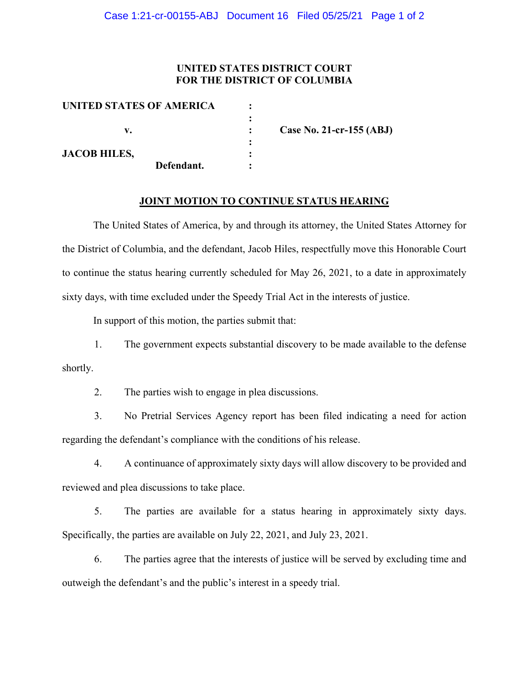#### **UNITED STATES DISTRICT COURT FOR THE DISTRICT OF COLUMBIA**

| UNITED STATES OF AMERICA |                          |
|--------------------------|--------------------------|
|                          |                          |
| v.                       | Case No. 21-cr-155 (ABJ) |
|                          |                          |
| <b>JACOB HILES,</b>      |                          |
| Defendant.               |                          |

#### **JOINT MOTION TO CONTINUE STATUS HEARING**

The United States of America, by and through its attorney, the United States Attorney for the District of Columbia, and the defendant, Jacob Hiles, respectfully move this Honorable Court to continue the status hearing currently scheduled for May 26, 2021, to a date in approximately sixty days, with time excluded under the Speedy Trial Act in the interests of justice.

In support of this motion, the parties submit that:

1. The government expects substantial discovery to be made available to the defense shortly.

2. The parties wish to engage in plea discussions.

3. No Pretrial Services Agency report has been filed indicating a need for action regarding the defendant's compliance with the conditions of his release.

4. A continuance of approximately sixty days will allow discovery to be provided and reviewed and plea discussions to take place.

5. The parties are available for a status hearing in approximately sixty days. Specifically, the parties are available on July 22, 2021, and July 23, 2021.

6. The parties agree that the interests of justice will be served by excluding time and outweigh the defendant's and the public's interest in a speedy trial.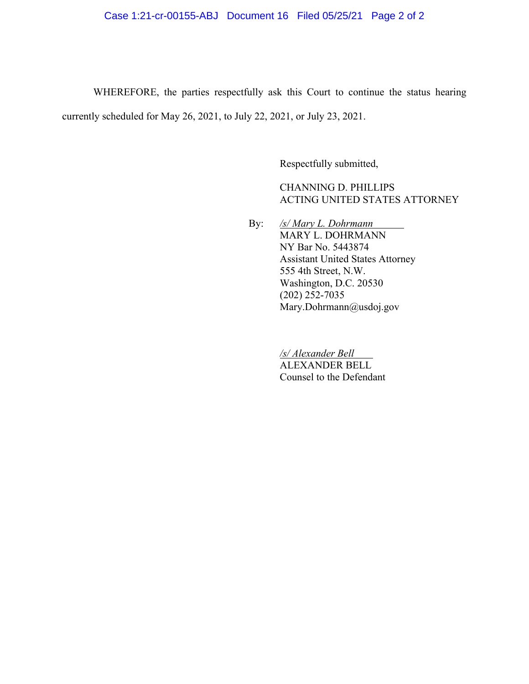# Case 1:21-cr-00155-ABJ Document 16 Filed 05/25/21 Page 2 of 2

WHEREFORE, the parties respectfully ask this Court to continue the status hearing currently scheduled for May 26, 2021, to July 22, 2021, or July 23, 2021.

Respectfully submitted,

CHANNING D. PHILLIPS ACTING UNITED STATES ATTORNEY

By: */s/ Mary L. Dohrmann* MARY L. DOHRMANN NY Bar No. 5443874 Assistant United States Attorney 555 4th Street, N.W. Washington, D.C. 20530 (202) 252-7035 Mary.Dohrmann@usdoj.gov

> */s/ Alexander Bell* ALEXANDER BELL Counsel to the Defendant